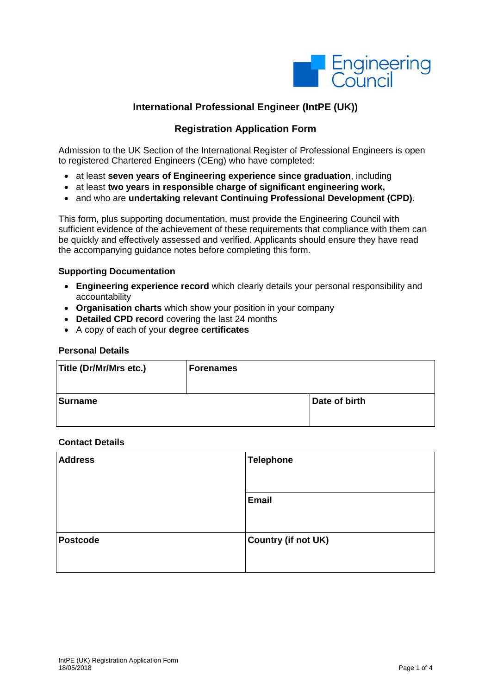

# **International Professional Engineer (IntPE (UK))**

# **Registration Application Form**

Admission to the UK Section of the International Register of Professional Engineers is open to registered Chartered Engineers (CEng) who have completed:

- at least **seven years of Engineering experience since graduation**, including
- at least **two years in responsible charge of significant engineering work,**
- and who are **undertaking relevant Continuing Professional Development (CPD).**

This form, plus supporting documentation, must provide the Engineering Council with sufficient evidence of the achievement of these requirements that compliance with them can be quickly and effectively assessed and verified. Applicants should ensure they have read the accompanying guidance notes before completing this form.

#### **Supporting Documentation**

- **Engineering experience record** which clearly details your personal responsibility and accountability
- **Organisation charts** which show your position in your company
- **Detailed CPD record** covering the last 24 months
- A copy of each of your **degree certificates**

#### **Personal Details**

| Title (Dr/Mr/Mrs etc.) | <b>Forenames</b> |               |
|------------------------|------------------|---------------|
| <b>Surname</b>         |                  | Date of birth |

#### **Contact Details**

| <b>Address</b>  | <b>Telephone</b>    |
|-----------------|---------------------|
|                 | <b>Email</b>        |
| <b>Postcode</b> | Country (if not UK) |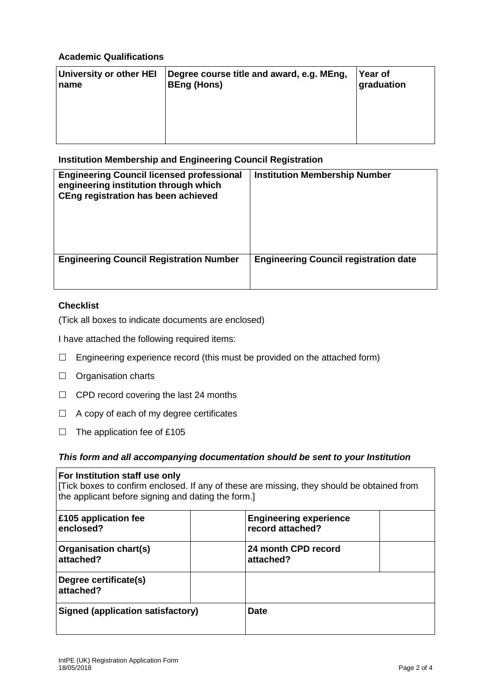## **Academic Qualifications**

| University or other HEI<br>name | Degree course title and award, e.g. MEng,<br><b>BEng (Hons)</b> | Year of<br>graduation |
|---------------------------------|-----------------------------------------------------------------|-----------------------|
|                                 |                                                                 |                       |
|                                 |                                                                 |                       |

## **Institution Membership and Engineering Council Registration**

| <b>Engineering Council licensed professional</b><br>engineering institution through which<br>CEng registration has been achieved | <b>Institution Membership Number</b>         |
|----------------------------------------------------------------------------------------------------------------------------------|----------------------------------------------|
| <b>Engineering Council Registration Number</b>                                                                                   | <b>Engineering Council registration date</b> |

# **Checklist**

(Tick all boxes to indicate documents are enclosed)

I have attached the following required items:

- $\Box$  Engineering experience record (this must be provided on the attached form)
- $\Box$  Organisation charts
- $\Box$  CPD record covering the last 24 months
- $\Box$  A copy of each of my degree certificates
- $\Box$  The application fee of £105

### *This form and all accompanying documentation should be sent to your Institution*

| For Institution staff use only<br>[Tick boxes to confirm enclosed. If any of these are missing, they should be obtained from<br>the applicant before signing and dating the form.] |                                                   |  |  |
|------------------------------------------------------------------------------------------------------------------------------------------------------------------------------------|---------------------------------------------------|--|--|
| £105 application fee<br>enclosed?                                                                                                                                                  | <b>Engineering experience</b><br>record attached? |  |  |
| Organisation chart(s)<br>attached?                                                                                                                                                 | 24 month CPD record<br>attached?                  |  |  |
| Degree certificate(s)<br>attached?                                                                                                                                                 |                                                   |  |  |
| <b>Signed (application satisfactory)</b>                                                                                                                                           | <b>Date</b>                                       |  |  |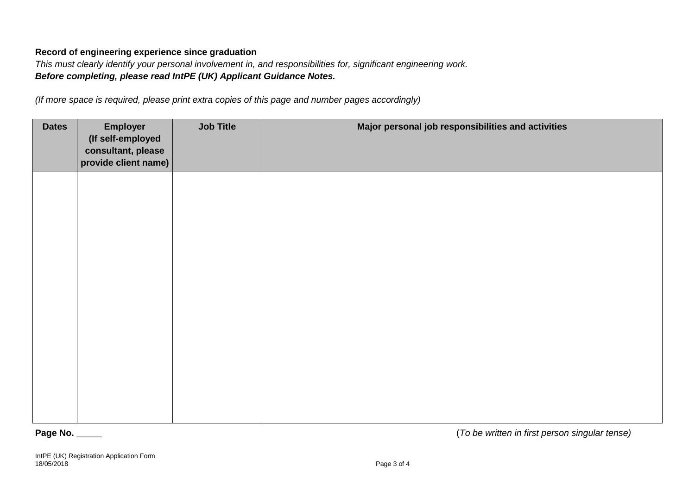## **Record of engineering experience since graduation**

*This must clearly identify your personal involvement in, and responsibilities for, significant engineering work. Before completing, please read IntPE (UK) Applicant Guidance Notes.*

*(If more space is required, please print extra copies of this page and number pages accordingly)*

| <b>Dates</b> | <b>Employer</b><br>(If self-employed<br>consultant, please<br>provide client name) | <b>Job Title</b> | Major personal job responsibilities and activities |
|--------------|------------------------------------------------------------------------------------|------------------|----------------------------------------------------|
|              |                                                                                    |                  |                                                    |
|              |                                                                                    |                  |                                                    |
|              |                                                                                    |                  |                                                    |
|              |                                                                                    |                  |                                                    |
|              |                                                                                    |                  |                                                    |

**Page No. \_\_\_\_\_** (*To be written in first person singular tense)*